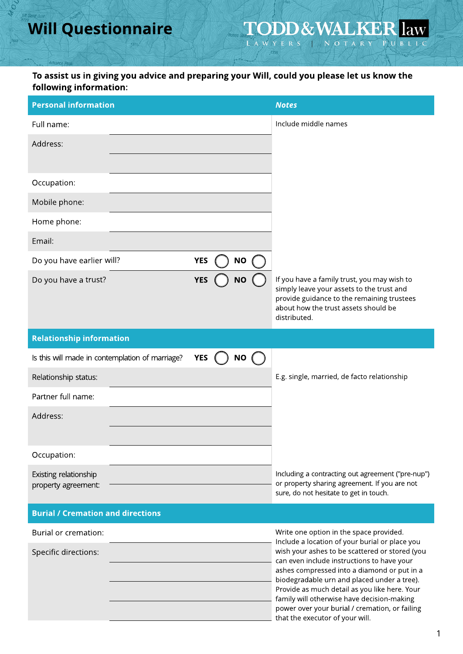## **Will Questionnaire**

u o'r

## TODD&WALKER law LAWYERS | NOTARY PUBLIC

To assist us in giving you advice and preparing your Will, could you please let us know the following information:

| <b>Personal information</b>                     |                         | <b>Notes</b>                                                                                                                                                                                                                                                                                                                                                                   |
|-------------------------------------------------|-------------------------|--------------------------------------------------------------------------------------------------------------------------------------------------------------------------------------------------------------------------------------------------------------------------------------------------------------------------------------------------------------------------------|
| Full name:                                      |                         | Include middle names                                                                                                                                                                                                                                                                                                                                                           |
| Address:                                        |                         |                                                                                                                                                                                                                                                                                                                                                                                |
|                                                 |                         |                                                                                                                                                                                                                                                                                                                                                                                |
| Occupation:                                     |                         |                                                                                                                                                                                                                                                                                                                                                                                |
| Mobile phone:                                   |                         |                                                                                                                                                                                                                                                                                                                                                                                |
| Home phone:                                     |                         |                                                                                                                                                                                                                                                                                                                                                                                |
| Email:                                          |                         |                                                                                                                                                                                                                                                                                                                                                                                |
| Do you have earlier will?                       | <b>YES</b><br><b>NO</b> |                                                                                                                                                                                                                                                                                                                                                                                |
| Do you have a trust?                            | <b>YES</b><br>NΟ        | If you have a family trust, you may wish to<br>simply leave your assets to the trust and<br>provide guidance to the remaining trustees<br>about how the trust assets should be<br>distributed.                                                                                                                                                                                 |
| <b>Relationship information</b>                 |                         |                                                                                                                                                                                                                                                                                                                                                                                |
| Is this will made in contemplation of marriage? | <b>YES</b><br><b>NO</b> |                                                                                                                                                                                                                                                                                                                                                                                |
| Relationship status:                            |                         | E.g. single, married, de facto relationship                                                                                                                                                                                                                                                                                                                                    |
| Partner full name:                              |                         |                                                                                                                                                                                                                                                                                                                                                                                |
| Address:                                        |                         |                                                                                                                                                                                                                                                                                                                                                                                |
|                                                 |                         |                                                                                                                                                                                                                                                                                                                                                                                |
| Occupation:                                     |                         |                                                                                                                                                                                                                                                                                                                                                                                |
| Existing relationship<br>property agreement:    |                         | Including a contracting out agreement ("pre-nup")<br>or property sharing agreement. If you are not<br>sure, do not hesitate to get in touch.                                                                                                                                                                                                                                   |
| <b>Burial / Cremation and directions</b>        |                         |                                                                                                                                                                                                                                                                                                                                                                                |
| Burial or cremation:                            |                         | Write one option in the space provided.<br>Include a location of your burial or place you                                                                                                                                                                                                                                                                                      |
| Specific directions:                            |                         | wish your ashes to be scattered or stored (you<br>can even include instructions to have your<br>ashes compressed into a diamond or put in a<br>biodegradable urn and placed under a tree).<br>Provide as much detail as you like here. Your<br>family will otherwise have decision-making<br>power over your burial / cremation, or failing<br>that the executor of your will. |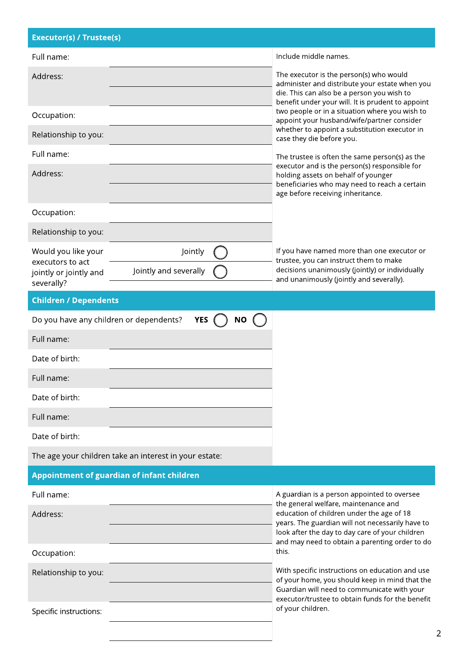| <b>Executor(s) / Trustee(s)</b>                                                   |                                                                                                                                                                                                      |
|-----------------------------------------------------------------------------------|------------------------------------------------------------------------------------------------------------------------------------------------------------------------------------------------------|
| Full name:                                                                        | Include middle names.                                                                                                                                                                                |
| Address:                                                                          | The executor is the person(s) who would<br>administer and distribute your estate when you<br>die. This can also be a person you wish to<br>benefit under your will. It is prudent to appoint         |
| Occupation:                                                                       | two people or in a situation where you wish to<br>appoint your husband/wife/partner consider                                                                                                         |
| Relationship to you:                                                              | whether to appoint a substitution executor in<br>case they die before you.                                                                                                                           |
| Full name:                                                                        | The trustee is often the same person(s) as the                                                                                                                                                       |
| Address:                                                                          | executor and is the person(s) responsible for<br>holding assets on behalf of younger<br>beneficiaries who may need to reach a certain<br>age before receiving inheritance.                           |
| Occupation:                                                                       |                                                                                                                                                                                                      |
| Relationship to you:                                                              |                                                                                                                                                                                                      |
| Would you like your<br>Jointly                                                    | If you have named more than one executor or<br>trustee, you can instruct them to make                                                                                                                |
| executors to act<br>Jointly and severally<br>jointly or jointly and<br>severally? | decisions unanimously (jointly) or individually<br>and unanimously (jointly and severally).                                                                                                          |
| <b>Children / Dependents</b>                                                      |                                                                                                                                                                                                      |
| Do you have any children or dependents?<br><b>YES</b><br><b>NO</b>                |                                                                                                                                                                                                      |
| Full name:                                                                        |                                                                                                                                                                                                      |
| Date of birth:                                                                    |                                                                                                                                                                                                      |
| Full name:                                                                        |                                                                                                                                                                                                      |
| Date of birth:                                                                    |                                                                                                                                                                                                      |
| Full name:                                                                        |                                                                                                                                                                                                      |
| Date of birth:                                                                    |                                                                                                                                                                                                      |
| The age your children take an interest in your estate:                            |                                                                                                                                                                                                      |
| Appointment of guardian of infant children                                        |                                                                                                                                                                                                      |
| Full name:                                                                        | A guardian is a person appointed to oversee<br>the general welfare, maintenance and                                                                                                                  |
| Address:                                                                          | education of children under the age of 18<br>years. The guardian will not necessarily have to<br>look after the day to day care of your children<br>and may need to obtain a parenting order to do   |
| Occupation:                                                                       | this.                                                                                                                                                                                                |
| Relationship to you:                                                              | With specific instructions on education and use<br>of your home, you should keep in mind that the<br>Guardian will need to communicate with your<br>executor/trustee to obtain funds for the benefit |
| Specific instructions:                                                            | of your children.                                                                                                                                                                                    |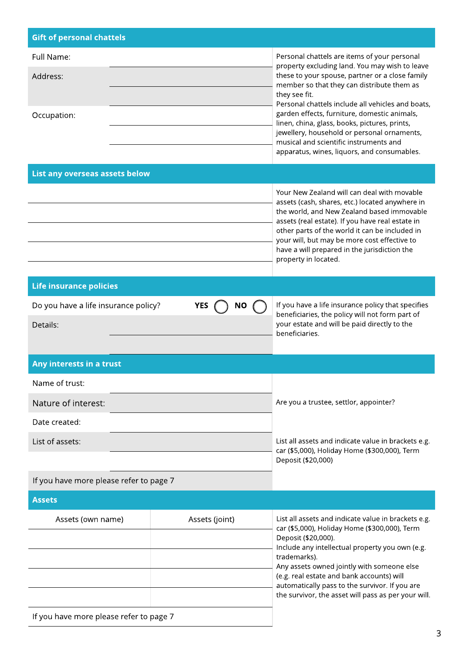| <b>Gift of personal chattels</b>        |  |                                                                                                                                                                                                                                                                                                                                                                                                                                                                 |                                                                                                                                                                                                                                                                                                                                                                                                    |
|-----------------------------------------|--|-----------------------------------------------------------------------------------------------------------------------------------------------------------------------------------------------------------------------------------------------------------------------------------------------------------------------------------------------------------------------------------------------------------------------------------------------------------------|----------------------------------------------------------------------------------------------------------------------------------------------------------------------------------------------------------------------------------------------------------------------------------------------------------------------------------------------------------------------------------------------------|
| Full Name:<br>Address:<br>Occupation:   |  | Personal chattels are items of your personal<br>property excluding land. You may wish to leave<br>these to your spouse, partner or a close family<br>member so that they can distribute them as<br>they see fit.<br>Personal chattels include all vehicles and boats,<br>garden effects, furniture, domestic animals,<br>linen, china, glass, books, pictures, prints,<br>jewellery, household or personal ornaments,<br>musical and scientific instruments and |                                                                                                                                                                                                                                                                                                                                                                                                    |
|                                         |  |                                                                                                                                                                                                                                                                                                                                                                                                                                                                 | apparatus, wines, liquors, and consumables.                                                                                                                                                                                                                                                                                                                                                        |
| List any overseas assets below          |  |                                                                                                                                                                                                                                                                                                                                                                                                                                                                 |                                                                                                                                                                                                                                                                                                                                                                                                    |
|                                         |  |                                                                                                                                                                                                                                                                                                                                                                                                                                                                 | Your New Zealand will can deal with movable<br>assets (cash, shares, etc.) located anywhere in<br>the world, and New Zealand based immovable<br>assets (real estate). If you have real estate in<br>other parts of the world it can be included in<br>your will, but may be more cost effective to<br>have a will prepared in the jurisdiction the<br>property in located.                         |
| <b>Life insurance policies</b>          |  |                                                                                                                                                                                                                                                                                                                                                                                                                                                                 |                                                                                                                                                                                                                                                                                                                                                                                                    |
| Do you have a life insurance policy?    |  | <b>YES</b><br>ΝO                                                                                                                                                                                                                                                                                                                                                                                                                                                | If you have a life insurance policy that specifies                                                                                                                                                                                                                                                                                                                                                 |
| Details:                                |  | beneficiaries, the policy will not form part of<br>your estate and will be paid directly to the<br>beneficiaries.                                                                                                                                                                                                                                                                                                                                               |                                                                                                                                                                                                                                                                                                                                                                                                    |
| <b>Any interests in a trust</b>         |  |                                                                                                                                                                                                                                                                                                                                                                                                                                                                 |                                                                                                                                                                                                                                                                                                                                                                                                    |
| Name of trust:                          |  |                                                                                                                                                                                                                                                                                                                                                                                                                                                                 |                                                                                                                                                                                                                                                                                                                                                                                                    |
| Nature of interest:                     |  | Are you a trustee, settlor, appointer?                                                                                                                                                                                                                                                                                                                                                                                                                          |                                                                                                                                                                                                                                                                                                                                                                                                    |
| Date created:                           |  |                                                                                                                                                                                                                                                                                                                                                                                                                                                                 |                                                                                                                                                                                                                                                                                                                                                                                                    |
| List of assets:                         |  | List all assets and indicate value in brackets e.g.<br>car (\$5,000), Holiday Home (\$300,000), Term<br>Deposit (\$20,000)                                                                                                                                                                                                                                                                                                                                      |                                                                                                                                                                                                                                                                                                                                                                                                    |
| If you have more please refer to page 7 |  |                                                                                                                                                                                                                                                                                                                                                                                                                                                                 |                                                                                                                                                                                                                                                                                                                                                                                                    |
| <b>Assets</b>                           |  |                                                                                                                                                                                                                                                                                                                                                                                                                                                                 |                                                                                                                                                                                                                                                                                                                                                                                                    |
| Assets (own name)                       |  | Assets (joint)                                                                                                                                                                                                                                                                                                                                                                                                                                                  | List all assets and indicate value in brackets e.g.<br>car (\$5,000), Holiday Home (\$300,000), Term<br>Deposit (\$20,000).<br>Include any intellectual property you own (e.g.<br>trademarks).<br>Any assets owned jointly with someone else<br>(e.g. real estate and bank accounts) will<br>automatically pass to the survivor. If you are<br>the survivor, the asset will pass as per your will. |
| If you have more please refer to page 7 |  |                                                                                                                                                                                                                                                                                                                                                                                                                                                                 |                                                                                                                                                                                                                                                                                                                                                                                                    |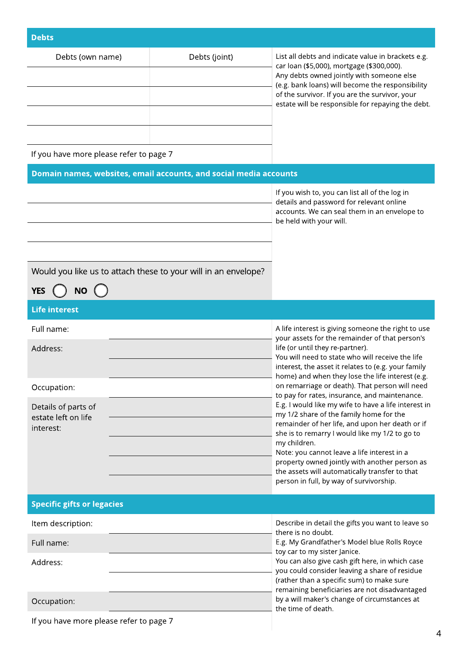| <b>Debts</b>                                                           |                                                                   |                                                                                                                                                                                                                                                                                                                                                                                                                                                                                                                                                                          |  |
|------------------------------------------------------------------------|-------------------------------------------------------------------|--------------------------------------------------------------------------------------------------------------------------------------------------------------------------------------------------------------------------------------------------------------------------------------------------------------------------------------------------------------------------------------------------------------------------------------------------------------------------------------------------------------------------------------------------------------------------|--|
| Debts (own name)                                                       | Debts (joint)                                                     | List all debts and indicate value in brackets e.g.<br>car loan (\$5,000), mortgage (\$300,000).<br>Any debts owned jointly with someone else<br>(e.g. bank loans) will become the responsibility<br>of the survivor. If you are the survivor, your<br>estate will be responsible for repaying the debt.                                                                                                                                                                                                                                                                  |  |
| If you have more please refer to page 7                                |                                                                   |                                                                                                                                                                                                                                                                                                                                                                                                                                                                                                                                                                          |  |
|                                                                        | Domain names, websites, email accounts, and social media accounts |                                                                                                                                                                                                                                                                                                                                                                                                                                                                                                                                                                          |  |
|                                                                        |                                                                   | If you wish to, you can list all of the log in<br>details and password for relevant online<br>accounts. We can seal them in an envelope to<br>be held with your will.                                                                                                                                                                                                                                                                                                                                                                                                    |  |
| Would you like us to attach these to your will in an envelope?         |                                                                   |                                                                                                                                                                                                                                                                                                                                                                                                                                                                                                                                                                          |  |
| <b>NO</b><br><b>YES</b>                                                |                                                                   |                                                                                                                                                                                                                                                                                                                                                                                                                                                                                                                                                                          |  |
| <b>Life interest</b>                                                   |                                                                   |                                                                                                                                                                                                                                                                                                                                                                                                                                                                                                                                                                          |  |
| Full name:<br>Address:                                                 |                                                                   | A life interest is giving someone the right to use<br>your assets for the remainder of that person's<br>life (or until they re-partner).<br>You will need to state who will receive the life<br>interest, the asset it relates to (e.g. your family                                                                                                                                                                                                                                                                                                                      |  |
| Occupation:<br>Details of parts of<br>estate left on life<br>interest: |                                                                   | home) and when they lose the life interest (e.g.<br>on remarriage or death). That person will need<br>to pay for rates, insurance, and maintenance.<br>E.g. I would like my wife to have a life interest in<br>my 1/2 share of the family home for the<br>remainder of her life, and upon her death or if<br>she is to remarry I would like my 1/2 to go to<br>my children.<br>Note: you cannot leave a life interest in a<br>property owned jointly with another person as<br>the assets will automatically transfer to that<br>person in full, by way of survivorship. |  |
| <b>Specific gifts or legacies</b>                                      |                                                                   |                                                                                                                                                                                                                                                                                                                                                                                                                                                                                                                                                                          |  |
| Item description:<br>Full name:<br>Address:<br>Occupation:             |                                                                   | Describe in detail the gifts you want to leave so<br>there is no doubt.<br>E.g. My Grandfather's Model blue Rolls Royce<br>toy car to my sister Janice.<br>You can also give cash gift here, in which case<br>you could consider leaving a share of residue<br>(rather than a specific sum) to make sure<br>remaining beneficiaries are not disadvantaged<br>by a will maker's change of circumstances at<br>the time of death.                                                                                                                                          |  |
|                                                                        |                                                                   |                                                                                                                                                                                                                                                                                                                                                                                                                                                                                                                                                                          |  |

If you have more please refer to page 7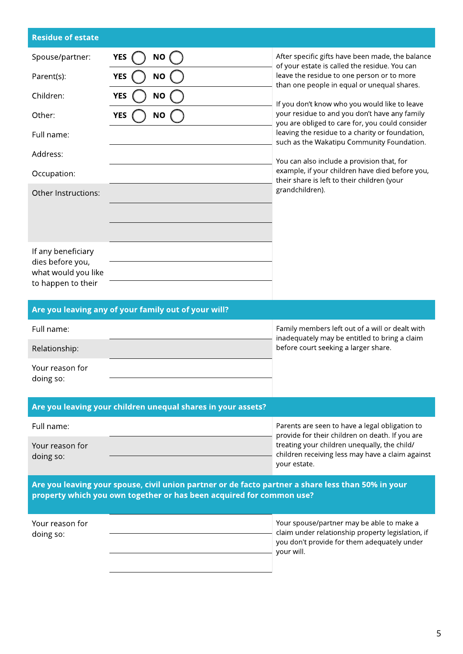## Residue of estate

| Spouse/partner:<br>Parent(s):<br>Children:<br>Other:<br>Full name:<br>Address:<br>Occupation:<br>Other Instructions:<br>If any beneficiary<br>dies before you,<br>what would you like<br>to happen to their | <b>YES</b><br>ΝO<br><b>NO</b><br><b>YES</b><br><b>YES</b><br><b>NO</b><br><b>YES</b><br><b>NO</b>                                                                          | After specific gifts have been made, the balance<br>of your estate is called the residue. You can<br>leave the residue to one person or to more<br>than one people in equal or unequal shares.<br>If you don't know who you would like to leave<br>your residue to and you don't have any family<br>you are obliged to care for, you could consider<br>leaving the residue to a charity or foundation,<br>such as the Wakatipu Community Foundation.<br>You can also include a provision that, for<br>example, if your children have died before you,<br>their share is left to their children (your<br>grandchildren). |
|-------------------------------------------------------------------------------------------------------------------------------------------------------------------------------------------------------------|----------------------------------------------------------------------------------------------------------------------------------------------------------------------------|-------------------------------------------------------------------------------------------------------------------------------------------------------------------------------------------------------------------------------------------------------------------------------------------------------------------------------------------------------------------------------------------------------------------------------------------------------------------------------------------------------------------------------------------------------------------------------------------------------------------------|
|                                                                                                                                                                                                             | Are you leaving any of your family out of your will?                                                                                                                       |                                                                                                                                                                                                                                                                                                                                                                                                                                                                                                                                                                                                                         |
| Full name:<br>Relationship:<br>Your reason for<br>doing so:                                                                                                                                                 |                                                                                                                                                                            | Family members left out of a will or dealt with<br>inadequately may be entitled to bring a claim<br>before court seeking a larger share.                                                                                                                                                                                                                                                                                                                                                                                                                                                                                |
|                                                                                                                                                                                                             |                                                                                                                                                                            |                                                                                                                                                                                                                                                                                                                                                                                                                                                                                                                                                                                                                         |
|                                                                                                                                                                                                             | Are you leaving your children unequal shares in your assets?                                                                                                               |                                                                                                                                                                                                                                                                                                                                                                                                                                                                                                                                                                                                                         |
| Full name:<br>Your reason for<br>doing so:                                                                                                                                                                  |                                                                                                                                                                            | Parents are seen to have a legal obligation to<br>provide for their children on death. If you are<br>treating your children unequally, the child/<br>children receiving less may have a claim against<br>your estate.                                                                                                                                                                                                                                                                                                                                                                                                   |
|                                                                                                                                                                                                             | Are you leaving your spouse, civil union partner or de facto partner a share less than 50% in your<br>property which you own together or has been acquired for common use? |                                                                                                                                                                                                                                                                                                                                                                                                                                                                                                                                                                                                                         |
|                                                                                                                                                                                                             |                                                                                                                                                                            |                                                                                                                                                                                                                                                                                                                                                                                                                                                                                                                                                                                                                         |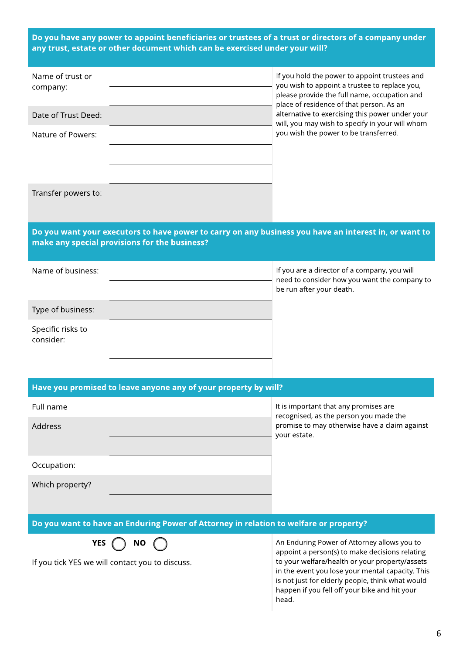Do you have any power to appoint beneficiaries or trustees of a trust or directors of a company under any trust, estate or other document which can be exercised under your will?

| Name of trust or<br>company:                                  |                                                                                       | If you hold the power to appoint trustees and<br>you wish to appoint a trustee to replace you,<br>please provide the full name, occupation and<br>place of residence of that person. As an |
|---------------------------------------------------------------|---------------------------------------------------------------------------------------|--------------------------------------------------------------------------------------------------------------------------------------------------------------------------------------------|
| Date of Trust Deed:                                           |                                                                                       | alternative to exercising this power under your<br>will, you may wish to specify in your will whom                                                                                         |
| Nature of Powers:                                             |                                                                                       | you wish the power to be transferred.                                                                                                                                                      |
| Transfer powers to:                                           |                                                                                       |                                                                                                                                                                                            |
| make any special provisions for the business?                 |                                                                                       | Do you want your executors to have power to carry on any business you have an interest in, or want to                                                                                      |
| Name of business:                                             |                                                                                       | If you are a director of a company, you will<br>need to consider how you want the company to<br>be run after your death.                                                                   |
| Type of business:                                             |                                                                                       |                                                                                                                                                                                            |
| Specific risks to<br>consider:                                |                                                                                       |                                                                                                                                                                                            |
|                                                               | Have you promised to leave anyone any of your property by will?                       |                                                                                                                                                                                            |
| Full name                                                     |                                                                                       | It is important that any promises are                                                                                                                                                      |
| Address                                                       |                                                                                       | recognised, as the person you made the<br>promise to may otherwise have a claim against<br>your estate.                                                                                    |
| Occupation:                                                   |                                                                                       |                                                                                                                                                                                            |
| Which property?                                               |                                                                                       |                                                                                                                                                                                            |
|                                                               | Do you want to have an Enduring Power of Attorney in relation to welfare or property? |                                                                                                                                                                                            |
| <b>YES</b><br>If you tick YES we will contact you to discuss. | NO                                                                                    | An Enduring Power of Attorney allows you to<br>appoint a person(s) to make decisions relating<br>to your welfare/health or your property/assets                                            |

to your welfare/health or your property/assets in the event you lose your mental capacity. This is not just for elderly people, think what would happen if you fell off your bike and hit your head.